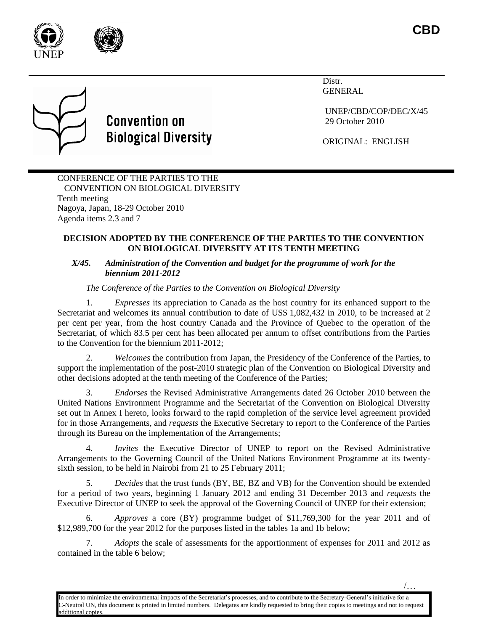



# **Convention on Biological Diversity**

Distr. GENERAL

UNEP/CBD/COP/DEC/X/45 29 October 2010

/…

ORIGINAL: ENGLISH

#### CONFERENCE OF THE PARTIES TO THE CONVENTION ON BIOLOGICAL DIVERSITY Tenth meeting Nagoya, Japan, 18-29 October 2010 Agenda items 2.3 and 7

#### **DECISION ADOPTED BY THE CONFERENCE OF THE PARTIES TO THE CONVENTION ON BIOLOGICAL DIVERSITY AT ITS TENTH MEETING**

#### *X/45. Administration of the Convention and budget for the programme of work for the biennium 2011-2012*

## *The Conference of the Parties to the Convention on Biological Diversity*

1. *Expresses* its appreciation to Canada as the host country for its enhanced support to the Secretariat and welcomes its annual contribution to date of US\$ 1,082,432 in 2010, to be increased at 2 per cent per year, from the host country Canada and the Province of Quebec to the operation of the Secretariat, of which 83.5 per cent has been allocated per annum to offset contributions from the Parties to the Convention for the biennium 2011-2012;

2. *Welcomes* the contribution from Japan, the Presidency of the Conference of the Parties, to support the implementation of the post-2010 strategic plan of the Convention on Biological Diversity and other decisions adopted at the tenth meeting of the Conference of the Parties;

3. *Endorses* the Revised Administrative Arrangements dated 26 October 2010 between the United Nations Environment Programme and the Secretariat of the Convention on Biological Diversity set out in Annex I hereto, looks forward to the rapid completion of the service level agreement provided for in those Arrangements, and *requests* the Executive Secretary to report to the Conference of the Parties through its Bureau on the implementation of the Arrangements;

*Invites* the Executive Director of UNEP to report on the Revised Administrative Arrangements to the Governing Council of the United Nations Environment Programme at its twentysixth session, to be held in Nairobi from 21 to 25 February 2011;

5. *Decides* that the trust funds (BY, BE, BZ and VB) for the Convention should be extended for a period of two years, beginning 1 January 2012 and ending 31 December 2013 and *requests* the Executive Director of UNEP to seek the approval of the Governing Council of UNEP for their extension;

6*. Approves* a core (BY) programme budget of \$11,769,300 for the year 2011 and of \$12,989,700 for the year 2012 for the purposes listed in the tables 1a and 1b below;

7. *Adopts* the scale of assessments for the apportionment of expenses for 2011 and 2012 as contained in the table 6 below;

In order to minimize the environmental impacts of the Secretariat's processes, and to contribute to the Secretary-General's initiative for a -Neutral UN, this document is printed in limited numbers. Delegates are kindly requested to bring their copies to meetings and not to request dditional copies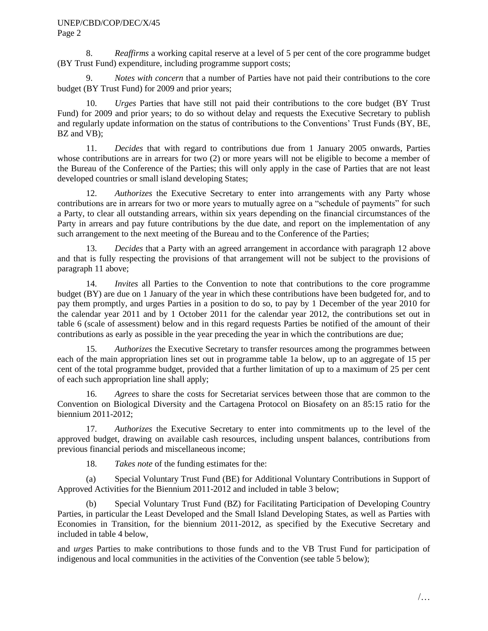8. *Reaffirms* a working capital reserve at a level of 5 per cent of the core programme budget (BY Trust Fund) expenditure, including programme support costs;

9. *Notes with concern* that a number of Parties have not paid their contributions to the core budget (BY Trust Fund) for 2009 and prior years;

10. *Urges* Parties that have still not paid their contributions to the core budget (BY Trust Fund) for 2009 and prior years; to do so without delay and requests the Executive Secretary to publish and regularly update information on the status of contributions to the Conventions' Trust Funds (BY, BE, BZ and VB);

11. *Decides* that with regard to contributions due from 1 January 2005 onwards, Parties whose contributions are in arrears for two (2) or more years will not be eligible to become a member of the Bureau of the Conference of the Parties; this will only apply in the case of Parties that are not least developed countries or small island developing States;

12. *Authorizes* the Executive Secretary to enter into arrangements with any Party whose contributions are in arrears for two or more years to mutually agree on a "schedule of payments" for such a Party, to clear all outstanding arrears, within six years depending on the financial circumstances of the Party in arrears and pay future contributions by the due date, and report on the implementation of any such arrangement to the next meeting of the Bureau and to the Conference of the Parties;

13. *Decides* that a Party with an agreed arrangement in accordance with paragraph 12 above and that is fully respecting the provisions of that arrangement will not be subject to the provisions of paragraph 11 above;

14. *Invites* all Parties to the Convention to note that contributions to the core programme budget (BY) are due on 1 January of the year in which these contributions have been budgeted for, and to pay them promptly, and urges Parties in a position to do so, to pay by 1 December of the year 2010 for the calendar year 2011 and by 1 October 2011 for the calendar year 2012, the contributions set out in table 6 (scale of assessment) below and in this regard requests Parties be notified of the amount of their contributions as early as possible in the year preceding the year in which the contributions are due;

15. *Authorizes* the Executive Secretary to transfer resources among the programmes between each of the main appropriation lines set out in programme table 1a below, up to an aggregate of 15 per cent of the total programme budget, provided that a further limitation of up to a maximum of 25 per cent of each such appropriation line shall apply;

16. *Agrees* to share the costs for Secretariat services between those that are common to the Convention on Biological Diversity and the Cartagena Protocol on Biosafety on an 85:15 ratio for the biennium 2011-2012;

17. *Authorizes* the Executive Secretary to enter into commitments up to the level of the approved budget, drawing on available cash resources, including unspent balances, contributions from previous financial periods and miscellaneous income;

18. *Takes note* of the funding estimates for the:

(a) Special Voluntary Trust Fund (BE) for Additional Voluntary Contributions in Support of Approved Activities for the Biennium 2011-2012 and included in table 3 below;

(b) Special Voluntary Trust Fund (BZ) for Facilitating Participation of Developing Country Parties, in particular the Least Developed and the Small Island Developing States, as well as Parties with Economies in Transition, for the biennium 2011-2012, as specified by the Executive Secretary and included in table 4 below,

and *urges* Parties to make contributions to those funds and to the VB Trust Fund for participation of indigenous and local communities in the activities of the Convention (see table 5 below);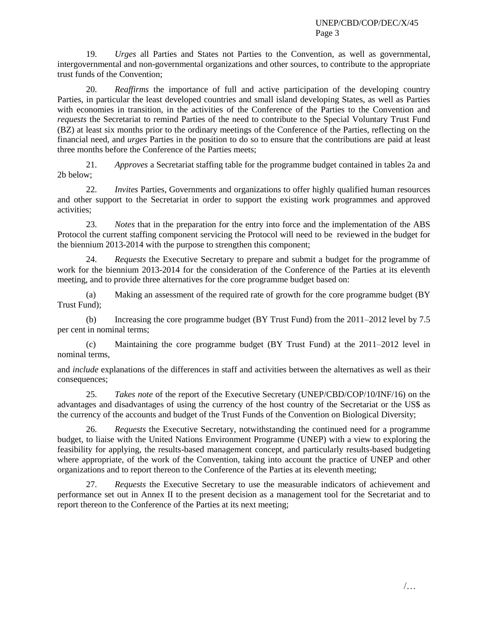19. *Urges* all Parties and States not Parties to the Convention, as well as governmental, intergovernmental and non-governmental organizations and other sources, to contribute to the appropriate trust funds of the Convention;

20. *Reaffirms* the importance of full and active participation of the developing country Parties, in particular the least developed countries and small island developing States, as well as Parties with economies in transition, in the activities of the Conference of the Parties to the Convention and *requests* the Secretariat to remind Parties of the need to contribute to the Special Voluntary Trust Fund (BZ) at least six months prior to the ordinary meetings of the Conference of the Parties, reflecting on the financial need, and *urges* Parties in the position to do so to ensure that the contributions are paid at least three months before the Conference of the Parties meets;

21. *Approves* a Secretariat staffing table for the programme budget contained in tables 2a and 2b below;

22. *Invites* Parties, Governments and organizations to offer highly qualified human resources and other support to the Secretariat in order to support the existing work programmes and approved activities;

23. *Notes* that in the preparation for the entry into force and the implementation of the ABS Protocol the current staffing component servicing the Protocol will need to be reviewed in the budget for the biennium 2013-2014 with the purpose to strengthen this component;

24. *Requests* the Executive Secretary to prepare and submit a budget for the programme of work for the biennium 2013-2014 for the consideration of the Conference of the Parties at its eleventh meeting, and to provide three alternatives for the core programme budget based on:

(a) Making an assessment of the required rate of growth for the core programme budget (BY Trust Fund);

(b) Increasing the core programme budget (BY Trust Fund) from the 2011–2012 level by 7.5 per cent in nominal terms;

(c) Maintaining the core programme budget (BY Trust Fund) at the 2011–2012 level in nominal terms,

and *include* explanations of the differences in staff and activities between the alternatives as well as their consequences;

25. *Takes note* of the report of the Executive Secretary (UNEP/CBD/COP/10/INF/16) on the advantages and disadvantages of using the currency of the host country of the Secretariat or the US\$ as the currency of the accounts and budget of the Trust Funds of the Convention on Biological Diversity;

26. *Requests* the Executive Secretary, notwithstanding the continued need for a programme budget, to liaise with the United Nations Environment Programme (UNEP) with a view to exploring the feasibility for applying, the results-based management concept, and particularly results-based budgeting where appropriate, of the work of the Convention, taking into account the practice of UNEP and other organizations and to report thereon to the Conference of the Parties at its eleventh meeting;

27. *Requests* the Executive Secretary to use the measurable indicators of achievement and performance set out in Annex II to the present decision as a management tool for the Secretariat and to report thereon to the Conference of the Parties at its next meeting;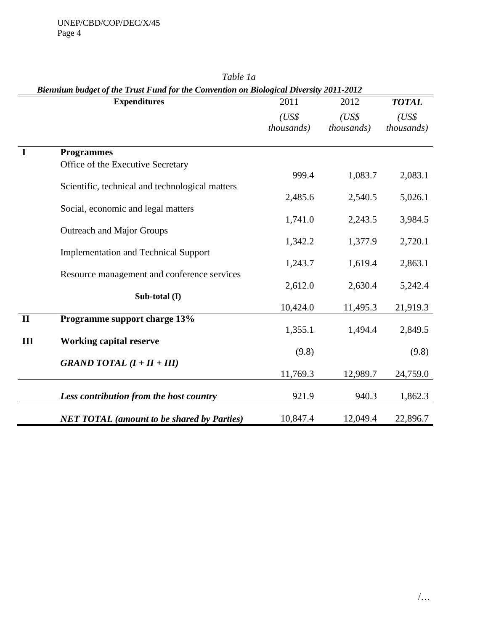| Biennium budget of the Trust Fund for the Convention on Biological Diversity 2011-2012 |                                                   |                     |                             |                     |
|----------------------------------------------------------------------------------------|---------------------------------------------------|---------------------|-----------------------------|---------------------|
|                                                                                        | <b>Expenditures</b>                               | 2011                | 2012                        | <b>TOTAL</b>        |
|                                                                                        |                                                   | (US\$<br>thousands) | (US\$<br><i>thousands</i> ) | (US\$<br>thousands) |
| $\mathbf I$                                                                            | <b>Programmes</b>                                 |                     |                             |                     |
|                                                                                        | Office of the Executive Secretary                 |                     |                             |                     |
|                                                                                        |                                                   | 999.4               | 1,083.7                     | 2,083.1             |
|                                                                                        | Scientific, technical and technological matters   |                     |                             |                     |
|                                                                                        |                                                   | 2,485.6             | 2,540.5                     | 5,026.1             |
|                                                                                        | Social, economic and legal matters                | 1,741.0             | 2,243.5                     | 3,984.5             |
|                                                                                        | <b>Outreach and Major Groups</b>                  |                     |                             |                     |
|                                                                                        |                                                   | 1,342.2             | 1,377.9                     | 2,720.1             |
|                                                                                        | <b>Implementation and Technical Support</b>       |                     |                             |                     |
|                                                                                        |                                                   | 1,243.7             | 1,619.4                     | 2,863.1             |
|                                                                                        | Resource management and conference services       |                     |                             |                     |
|                                                                                        | Sub-total (I)                                     | 2,612.0             | 2,630.4                     | 5,242.4             |
|                                                                                        |                                                   | 10,424.0            | 11,495.3                    | 21,919.3            |
| $\mathbf{I}$                                                                           | Programme support charge 13%                      |                     |                             |                     |
|                                                                                        |                                                   | 1,355.1             | 1,494.4                     | 2,849.5             |
| III                                                                                    | <b>Working capital reserve</b>                    |                     |                             |                     |
|                                                                                        |                                                   | (9.8)               |                             | (9.8)               |
|                                                                                        | GRAND TOTAL $(I + II + III)$                      |                     |                             |                     |
|                                                                                        |                                                   | 11,769.3            | 12,989.7                    | 24,759.0            |
|                                                                                        | Less contribution from the host country           | 921.9               | 940.3                       | 1,862.3             |
|                                                                                        | <b>NET TOTAL</b> (amount to be shared by Parties) | 10,847.4            | 12,049.4                    | 22,896.7            |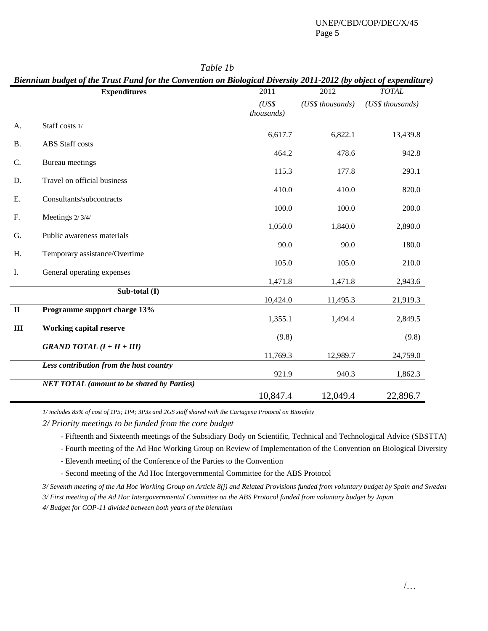|              | <b>Expenditures</b>                               | 2011                | 2012             | <b>TOTAL</b>     |
|--------------|---------------------------------------------------|---------------------|------------------|------------------|
|              |                                                   | (US\$<br>thousands) | (US\$ thousands) | (US\$ thousands) |
| A.           | Staff costs 1/                                    |                     |                  |                  |
| <b>B.</b>    | <b>ABS</b> Staff costs                            | 6,617.7             | 6,822.1          | 13,439.8         |
|              |                                                   | 464.2               | 478.6            | 942.8            |
| C.           | <b>Bureau</b> meetings                            |                     |                  |                  |
|              |                                                   | 115.3               | 177.8            | 293.1            |
| D.           | Travel on official business                       | 410.0               | 410.0            | 820.0            |
| Ε.           | Consultants/subcontracts                          |                     |                  |                  |
|              |                                                   | 100.0               | 100.0            | 200.0            |
| F.           | Meetings 2/3/4/                                   | 1,050.0             | 1,840.0          | 2,890.0          |
| G.           | Public awareness materials                        |                     |                  |                  |
|              |                                                   | 90.0                | 90.0             | 180.0            |
| Η.           | Temporary assistance/Overtime                     | 105.0               | 105.0            | 210.0            |
| I.           | General operating expenses                        |                     |                  |                  |
|              |                                                   | 1,471.8             | 1,471.8          | 2,943.6          |
|              | Sub-total (I)                                     |                     |                  |                  |
|              |                                                   | 10,424.0            | 11,495.3         | 21,919.3         |
| $\mathbf{I}$ | Programme support charge 13%                      | 1,355.1             | 1,494.4          | 2,849.5          |
| $\mathbf{I}$ | <b>Working capital reserve</b>                    |                     |                  |                  |
|              |                                                   | (9.8)               |                  | (9.8)            |
|              | <b>GRAND TOTAL</b> $(I + II + III)$               |                     |                  |                  |
|              |                                                   | 11,769.3            | 12,989.7         | 24,759.0         |
|              | Less contribution from the host country           | 921.9               | 940.3            | 1,862.3          |
|              | <b>NET TOTAL</b> (amount to be shared by Parties) |                     |                  |                  |
|              |                                                   | 10,847.4            | 12,049.4         | 22,896.7         |

*Table 1b*

*Biennium budget of the Trust Fund for the Convention on Biological Diversity 2011-2012 (by object of expenditure)*

*1/ includes 85% of cost of 1P5; 1P4; 3P3s and 2GS staff shared with the Cartagena Protocol on Biosafety*

*2/ Priority meetings to be funded from the core budget*

- Fifteenth and Sixteenth meetings of the Subsidiary Body on Scientific, Technical and Technological Advice (SBSTTA)

- Fourth meeting of the Ad Hoc Working Group on Review of Implementation of the Convention on Biological Diversity

- Eleventh meeting of the Conference of the Parties to the Convention

- Second meeting of the Ad Hoc Intergovernmental Committee for the ABS Protocol

*3/ Seventh meeting of the Ad Hoc Working Group on Article 8(j) and Related Provisions funded from voluntary budget by Spain and Sweden 3/ First meeting of the Ad Hoc Intergovernmental Committee on the ABS Protocol funded from voluntary budget by Japan*

*4/ Budget for COP-11 divided between both years of the biennium*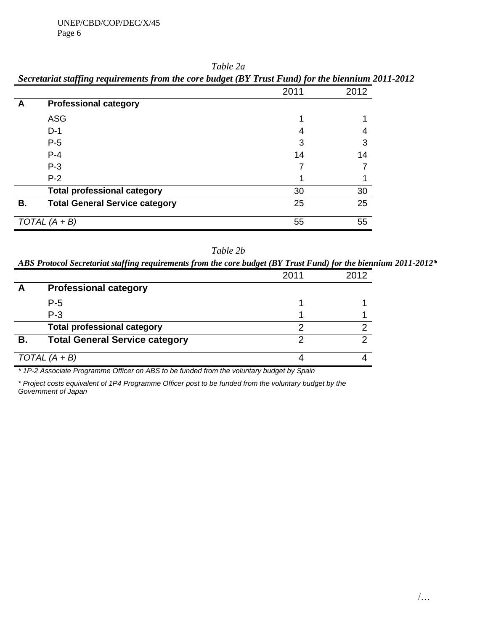|    | Secretariat staffing requirements from the core budget (BY Trust Fund) for the biennium 2011. |      |      |
|----|-----------------------------------------------------------------------------------------------|------|------|
|    |                                                                                               | 2011 | 2012 |
| A  | <b>Professional category</b>                                                                  |      |      |
|    | <b>ASG</b>                                                                                    |      |      |
|    | $D-1$                                                                                         | 4    |      |
|    | $P-5$                                                                                         | 3    |      |
|    | $P - 4$                                                                                       | 14   | 14   |
|    | $P-3$                                                                                         |      |      |
|    | $P-2$                                                                                         |      |      |
|    | <b>Total professional category</b>                                                            | 30   | 30   |
| В. | <b>Total General Service category</b>                                                         | 25   | 25   |
|    | TOTAL $(A + B)$                                                                               | 55   | 55   |

*Table 2a Secretariat staffing requirements from the core budget (BY Trust Fund) for the biennium 2011-2012*

| Table 2b |  |
|----------|--|
|----------|--|

*ABS Protocol Secretariat staffing requirements from the core budget (BY Trust Fund) for the biennium 2011-2012\**

|    |                                       | 2011 | 2012 |
|----|---------------------------------------|------|------|
|    | <b>Professional category</b>          |      |      |
|    | $P-5$                                 |      |      |
|    | $P-3$                                 |      |      |
|    | <b>Total professional category</b>    |      |      |
| В. | <b>Total General Service category</b> |      |      |
|    | TOTAL $(A + B)$                       |      |      |

*\* 1P-2 Associate Programme Officer on ABS to be funded from the voluntary budget by Spain*

*\* Project costs equivalent of 1P4 Programme Officer post to be funded from the voluntary budget by the Government of Japan*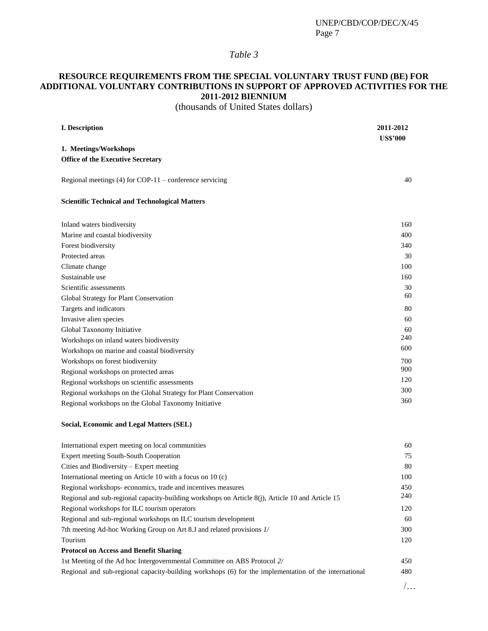## *Table 3*

## **RESOURCE REQUIREMENTS FROM THE SPECIAL VOLUNTARY TRUST FUND (BE) FOR ADDITIONAL VOLUNTARY CONTRIBUTIONS IN SUPPORT OF APPROVED ACTIVITIES FOR THE 2011-2012 BIENNIUM**

(thousands of United States dollars)

| <b>I.</b> Description                                            | 2011-2012       |
|------------------------------------------------------------------|-----------------|
| 1. Meetings/Workshops                                            | <b>US\$'000</b> |
| <b>Office of the Executive Secretary</b>                         |                 |
|                                                                  |                 |
| Regional meetings $(4)$ for COP-11 – conference servicing        | 40              |
| <b>Scientific Technical and Technological Matters</b>            |                 |
| Inland waters biodiversity                                       | 160             |
| Marine and coastal biodiversity                                  | 400             |
| Forest biodiversity                                              | 340             |
| Protected areas                                                  | 30              |
| Climate change                                                   | 100             |
| Sustainable use                                                  | 160             |
| Scientific assessments                                           | 30              |
| Global Strategy for Plant Conservation                           | 60              |
| Targets and indicators                                           | 80              |
| Invasive alien species                                           | 60              |
| Global Taxonomy Initiative                                       | 60              |
| Workshops on inland waters biodiversity                          | 240             |
| Workshops on marine and coastal biodiversity                     | 600             |
| Workshops on forest biodiversity                                 | 700             |
| Regional workshops on protected areas                            | 900             |
| Regional workshops on scientific assessments                     | 120             |
| Regional workshops on the Global Strategy for Plant Conservation | 300             |
| Regional workshops on the Global Taxonomy Initiative             | 360             |
|                                                                  |                 |

#### **Social, Economic and Legal Matters (SEL)**

| International expert meeting on local communities                                                     | 60  |
|-------------------------------------------------------------------------------------------------------|-----|
| Expert meeting South-South Cooperation                                                                | 75  |
| Cities and Biodiversity – Expert meeting                                                              | 80  |
| International meeting on Article 10 with a focus on 10 (c)                                            | 100 |
| Regional workshops-economics, trade and incentives measures                                           | 450 |
| Regional and sub-regional capacity-building workshops on Article 8(j), Article 10 and Article 15      | 240 |
| Regional workshops for ILC tourism operators                                                          | 120 |
| Regional and sub-regional workshops on ILC tourism development                                        | 60  |
| 7th meeting Ad-hoc Working Group on Art 8.J and related provisions 1/                                 | 300 |
| Tourism                                                                                               | 120 |
| <b>Protocol on Access and Benefit Sharing</b>                                                         |     |
| 1st Meeting of the Ad hoc Intergovernmental Committee on ABS Protocol 2/                              | 450 |
| Regional and sub-regional capacity-building workshops (6) for the implementation of the international | 480 |
|                                                                                                       |     |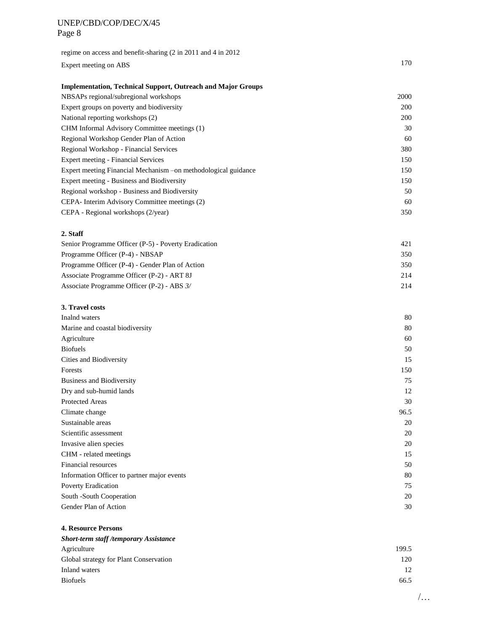| regime on access and benefit-sharing (2 in 2011 and 4 in 2012) |     |
|----------------------------------------------------------------|-----|
| Expert meeting on ABS                                          | 170 |

#### **Implementation, Technical Support, Outreach and Major Groups**

| NBSAPs regional/subregional workshops                           | 2000       |
|-----------------------------------------------------------------|------------|
| Expert groups on poverty and biodiversity                       | <b>200</b> |
| National reporting workshops (2)                                | 200        |
| CHM Informal Advisory Committee meetings (1)                    | 30         |
| Regional Workshop Gender Plan of Action                         | 60         |
| Regional Workshop - Financial Services                          | 380        |
| Expert meeting - Financial Services                             | 150        |
| Expert meeting Financial Mechanism – on methodological guidance | 150        |
| Expert meeting - Business and Biodiversity                      | 150        |
| Regional workshop - Business and Biodiversity                   | 50         |
| CEPA- Interim Advisory Committee meetings (2)                   | 60         |
| CEPA - Regional workshops (2/year)                              | 350        |

#### **2. Staff**

| Senior Programme Officer (P-5) - Poverty Eradication | 421 |
|------------------------------------------------------|-----|
| Programme Officer (P-4) - NBSAP                      | 350 |
| Programme Officer (P-4) - Gender Plan of Action      | 350 |
| Associate Programme Officer (P-2) - ART 8J           | 214 |
| Associate Programme Officer (P-2) - ABS 3/           | 214 |

#### **3. Travel costs**

| Inalnd waters                               | 80   |
|---------------------------------------------|------|
| Marine and coastal biodiversity             | 80   |
| Agriculture                                 | 60   |
| <b>Biofuels</b>                             | 50   |
| Cities and Biodiversity                     | 15   |
| Forests                                     | 150  |
| <b>Business and Biodiversity</b>            | 75   |
| Dry and sub-humid lands                     | 12   |
| <b>Protected Areas</b>                      | 30   |
| Climate change                              | 96.5 |
| Sustainable areas                           | 20   |
| Scientific assessment                       | 20   |
| Invasive alien species                      | 20   |
| CHM - related meetings                      | 15   |
| Financial resources                         | 50   |
| Information Officer to partner major events | 80   |
| <b>Poverty Eradication</b>                  | 75   |
| South -South Cooperation                    | 20   |
| Gender Plan of Action                       | 30   |

#### **4. Resource Persons**

| <b>Short-term staff/temporary Assistance</b> |       |
|----------------------------------------------|-------|
| Agriculture                                  | 199.5 |
| Global strategy for Plant Conservation       | 120   |
| Inland waters                                | 12    |
| <b>Biofuels</b>                              | 66.5  |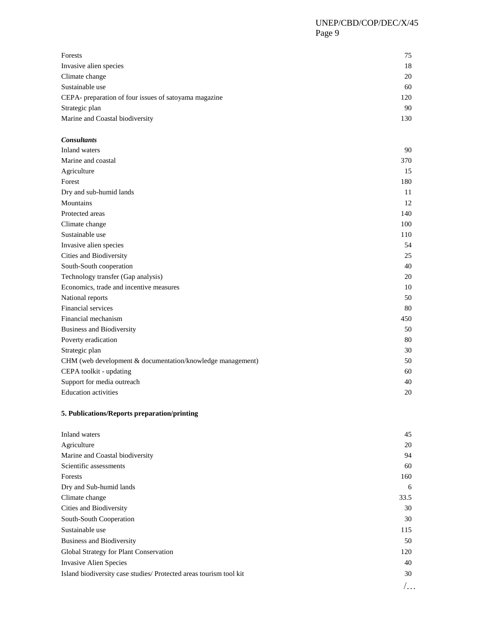| Forests                                               | 75  |
|-------------------------------------------------------|-----|
| Invasive alien species                                | 18  |
| Climate change                                        | 20  |
| Sustainable use                                       | 60  |
| CEPA- preparation of four issues of satoyama magazine | 120 |
| Strategic plan                                        | 90  |
| Marine and Coastal biodiversity                       | 130 |

#### *Consultants*

| Inland waters                                              | 90  |
|------------------------------------------------------------|-----|
| Marine and coastal                                         | 370 |
| Agriculture                                                | 15  |
| Forest                                                     | 180 |
| Dry and sub-humid lands                                    | 11  |
| Mountains                                                  | 12  |
| Protected areas                                            | 140 |
| Climate change                                             | 100 |
| Sustainable use                                            | 110 |
| Invasive alien species                                     | 54  |
| Cities and Biodiversity                                    | 25  |
| South-South cooperation                                    | 40  |
| Technology transfer (Gap analysis)                         | 20  |
| Economics, trade and incentive measures                    | 10  |
| National reports                                           | 50  |
| Financial services                                         | 80  |
| Financial mechanism                                        | 450 |
| <b>Business and Biodiversity</b>                           | 50  |
| Poverty eradication                                        | 80  |
| Strategic plan                                             | 30  |
| CHM (web development & documentation/knowledge management) | 50  |
| CEPA toolkit - updating                                    | 60  |
| Support for media outreach                                 | 40  |
| <b>Education</b> activities                                | 20  |

#### **5. Publications/Reports preparation/printing**

| Inland waters                                                      | 45   |
|--------------------------------------------------------------------|------|
| Agriculture                                                        | 20   |
| Marine and Coastal biodiversity                                    | 94   |
| Scientific assessments                                             | 60   |
| Forests                                                            | 160  |
| Dry and Sub-humid lands                                            | 6    |
| Climate change                                                     | 33.5 |
| Cities and Biodiversity                                            | 30   |
| South-South Cooperation                                            | 30   |
| Sustainable use                                                    | 115  |
| <b>Business and Biodiversity</b>                                   | 50   |
| Global Strategy for Plant Conservation                             | 120  |
| <b>Invasive Alien Species</b>                                      | 40   |
| Island biodiversity case studies/ Protected areas tourism tool kit | 30   |
|                                                                    |      |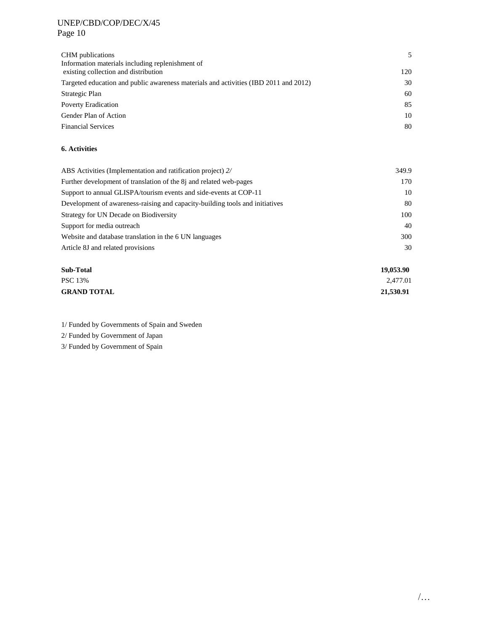| CHM publications<br>Information materials including replenishment of                 | 5   |
|--------------------------------------------------------------------------------------|-----|
| existing collection and distribution                                                 | 120 |
| Targeted education and public awareness materials and activities (IBD 2011 and 2012) | 30  |
| Strategic Plan                                                                       | 60  |
| <b>Poverty Eradication</b>                                                           | 85  |
| Gender Plan of Action                                                                | 10  |
| <b>Financial Services</b>                                                            | 80  |

#### **6. Activities**

| ABS Activities (Implementation and ratification project) 2/                  | 349.9 |
|------------------------------------------------------------------------------|-------|
| Further development of translation of the 8 <i>j</i> and related web-pages   | 170   |
| Support to annual GLISPA/tourism events and side-events at COP-11            | 10    |
| Development of awareness-raising and capacity-building tools and initiatives | 80    |
| Strategy for UN Decade on Biodiversity                                       | 100   |
| Support for media outreach                                                   | 40    |
| Website and database translation in the 6 UN languages                       | 300   |
| Article 8J and related provisions                                            | 30    |

| Sub-Total          | 19,053.90 |
|--------------------|-----------|
| <b>PSC 13%</b>     | 2,477.01  |
| <b>GRAND TOTAL</b> | 21,530.91 |

1/ Funded by Governments of Spain and Sweden

2/ Funded by Government of Japan

3/ Funded by Government of Spain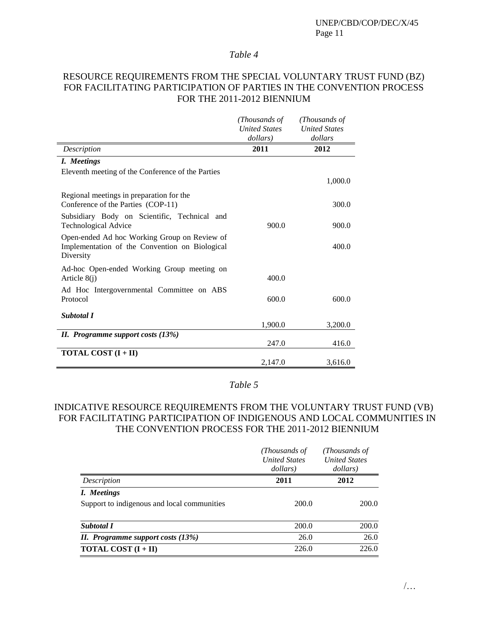#### *Table 4*

## RESOURCE REQUIREMENTS FROM THE SPECIAL VOLUNTARY TRUST FUND (BZ) FOR FACILITATING PARTICIPATION OF PARTIES IN THE CONVENTION PROCESS FOR THE 2011-2012 BIENNIUM

|                                                                                                             | (Thousands of<br><b>United States</b><br>dollars) | (Thousands of<br><b>United States</b><br>dollars |
|-------------------------------------------------------------------------------------------------------------|---------------------------------------------------|--------------------------------------------------|
| Description                                                                                                 | 2011                                              | 2012                                             |
| I. Meetings                                                                                                 |                                                   |                                                  |
| Eleventh meeting of the Conference of the Parties                                                           |                                                   | 1,000.0                                          |
| Regional meetings in preparation for the<br>Conference of the Parties (COP-11)                              |                                                   | 300.0                                            |
| Subsidiary Body on Scientific, Technical and<br><b>Technological Advice</b>                                 | 900.0                                             | 900.0                                            |
| Open-ended Ad hoc Working Group on Review of<br>Implementation of the Convention on Biological<br>Diversity |                                                   | 400.0                                            |
| Ad-hoc Open-ended Working Group meeting on<br>Article $8(j)$                                                | 400.0                                             |                                                  |
| Ad Hoc Intergovernmental Committee on ABS<br>Protocol                                                       | 600.0                                             | 600.0                                            |
| <b>Subtotal I</b>                                                                                           | 1,900.0                                           | 3,200.0                                          |
| II. Programme support costs (13%)                                                                           | 247.0                                             | 416.0                                            |
| <b>TOTAL COST</b> $(I + II)$                                                                                | 2,147.0                                           | 3,616.0                                          |

## *Table 5*

## INDICATIVE RESOURCE REQUIREMENTS FROM THE VOLUNTARY TRUST FUND (VB) FOR FACILITATING PARTICIPATION OF INDIGENOUS AND LOCAL COMMUNITIES IN THE CONVENTION PROCESS FOR THE 2011-2012 BIENNIUM

|                                             | (Thousands of<br><b>United States</b><br>dollars) | (Thousands of<br><b>United States</b><br>dollars) |  |
|---------------------------------------------|---------------------------------------------------|---------------------------------------------------|--|
| Description                                 | 2011                                              | 2012                                              |  |
| I. Meetings                                 |                                                   |                                                   |  |
| Support to indigenous and local communities | 200.0                                             | 200.0                                             |  |
| <b>Subtotal I</b>                           | 200.0                                             | 200.0                                             |  |
| II. Programme support costs $(13%)$         | 26.0                                              | 26.0                                              |  |
| <b>TOTAL COST</b> $(I + II)$                | 226.0                                             | 226.0                                             |  |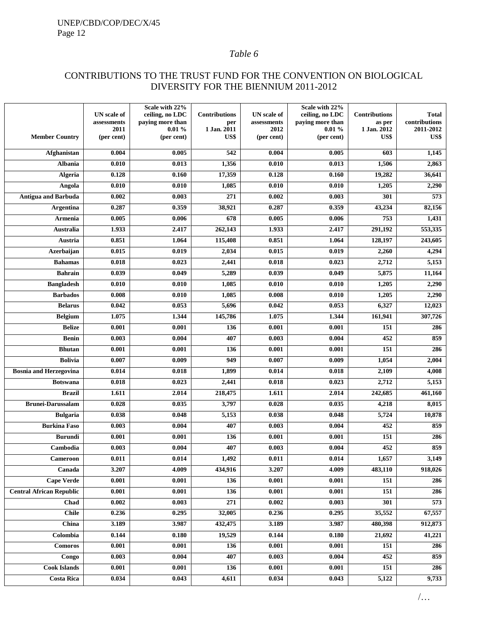## *Table 6*

## CONTRIBUTIONS TO THE TRUST FUND FOR THE CONVENTION ON BIOLOGICAL DIVERSITY FOR THE BIENNIUM 2011-2012

|                                 | UN scale of        | Scale with 22%<br>ceiling, no LDC | <b>Contributions</b> | <b>UN</b> scale of | Scale with 22%<br>ceiling, no LDC | <b>Contributions</b> | <b>Total</b>      |
|---------------------------------|--------------------|-----------------------------------|----------------------|--------------------|-----------------------------------|----------------------|-------------------|
|                                 | assessments        | paying more than                  | per                  | assessments        | paying more than                  | as per               | contributions     |
| <b>Member Country</b>           | 2011<br>(per cent) | 0.01%<br>(per cent)               | 1 Jan. 2011<br>US\$  | 2012<br>(per cent) | 0.01%<br>(per cent)               | 1 Jan. 2012<br>US\$  | 2011-2012<br>US\$ |
|                                 |                    |                                   |                      |                    |                                   |                      |                   |
| Afghanistan                     | 0.004              | 0.005                             | 542                  | 0.004              | 0.005                             | 603                  | 1,145             |
| <b>Albania</b>                  | 0.010              | 0.013                             | 1,356                | 0.010              | 0.013                             | 1,506                | 2,863             |
| <b>Algeria</b>                  | 0.128              | 0.160                             | 17,359               | 0.128              | 0.160                             | 19,282               | 36,641            |
| Angola                          | 0.010              | 0.010                             | 1,085                | 0.010              | 0.010                             | 1,205                | 2,290             |
| <b>Antigua and Barbuda</b>      | 0.002              | 0.003                             | $\overline{271}$     | 0.002              | 0.003                             | 301                  | $\overline{573}$  |
| <b>Argentina</b>                | 0.287              | 0.359                             | 38,921               | 0.287              | 0.359                             | 43,234               | 82,156            |
| Armenia                         | 0.005              | 0.006                             | 678                  | 0.005              | 0.006                             | 753                  | 1,431             |
| Australia                       | 1.933              | 2.417                             | 262,143              | 1.933              | 2.417                             | 291,192              | 553,335           |
| Austria                         | 0.851              | 1.064                             | 115,408              | 0.851              | 1.064                             | 128,197              | 243,605           |
| Azerbaijan                      | 0.015              | 0.019                             | 2,034                | 0.015              | 0.019                             | 2,260                | 4,294             |
| <b>Bahamas</b>                  | 0.018              | 0.023                             | 2,441                | 0.018              | 0.023                             | 2,712                | 5,153             |
| <b>Bahrain</b>                  | 0.039              | 0.049                             | 5,289                | 0.039              | 0.049                             | 5,875                | 11,164            |
| <b>Bangladesh</b>               | 0.010              | 0.010                             | 1,085                | 0.010              | 0.010                             | 1,205                | 2,290             |
| <b>Barbados</b>                 | 0.008              | 0.010                             | 1,085                | 0.008              | 0.010                             | 1,205                | 2,290             |
| <b>Belarus</b>                  | 0.042              | 0.053                             | 5,696                | 0.042              | 0.053                             | 6,327                | 12,023            |
| <b>Belgium</b>                  | 1.075              | 1.344                             | 145,786              | 1.075              | 1.344                             | 161,941              | 307,726           |
| <b>Belize</b>                   | 0.001              | 0.001                             | 136                  | 0.001              | 0.001                             | 151                  | 286               |
| <b>Benin</b>                    | 0.003              | 0.004                             | 407                  | 0.003              | 0.004                             | 452                  | 859               |
| <b>Bhutan</b>                   | 0.001              | 0.001                             | 136                  | 0.001              | 0.001                             | 151                  | 286               |
| <b>Bolivia</b>                  | 0.007              | 0.009                             | 949                  | 0.007              | 0.009                             | 1,054                | 2,004             |
| <b>Bosnia and Herzegovina</b>   | 0.014              | 0.018                             | 1,899                | 0.014              | 0.018                             | 2,109                | 4,008             |
| <b>Botswana</b>                 | 0.018              | 0.023                             | 2,441                | 0.018              | 0.023                             | 2,712                | 5,153             |
| <b>Brazil</b>                   | 1.611              | 2.014                             | 218,475              | 1.611              | 2.014                             | 242,685              | 461,160           |
| <b>Brunei-Darussalam</b>        | 0.028              | 0.035                             | 3,797                | 0.028              | 0.035                             | 4,218                | 8,015             |
| <b>Bulgaria</b>                 | 0.038              | 0.048                             | 5,153                | 0.038              | 0.048                             | 5,724                | 10,878            |
| <b>Burkina Faso</b>             | 0.003              | 0.004                             | 407                  | 0.003              | 0.004                             | 452                  | 859               |
| <b>Burundi</b>                  | 0.001              | 0.001                             | 136                  | 0.001              | 0.001                             | 151                  | 286               |
| Cambodia                        | 0.003              | 0.004                             | 407                  | 0.003              | 0.004                             | 452                  | 859               |
| Cameroon                        | 0.011              | 0.014                             | 1,492                | 0.011              | 0.014                             | 1,657                | 3,149             |
| Canada                          | 3.207              | 4.009                             | 434,916              | 3.207              | 4.009                             | 483,110              | 918,026           |
| <b>Cape Verde</b>               | 0.001              | 0.001                             | 136                  | 0.001              | 0.001                             | 151                  | 286               |
| <b>Central African Republic</b> | 0.001              | 0.001                             | 136                  | 0.001              | 0.001                             | 151                  | 286               |
| Chad                            | 0.002              | 0.003                             | 271                  | 0.002              | 0.003                             | 301                  | 573               |
| <b>Chile</b>                    | 0.236              | 0.295                             | 32,005               | 0.236              | 0.295                             | 35,552               | 67,557            |
| China                           | 3.189              | 3.987                             | 432,475              | 3.189              | 3.987                             | 480,398              | 912,873           |
| Colombia                        | 0.144              | 0.180                             | 19,529               | 0.144              | 0.180                             | 21,692               | 41,221            |
| <b>Comoros</b>                  | 0.001              | 0.001                             | 136                  | 0.001              | 0.001                             | 151                  | 286               |
| Congo                           | 0.003              | 0.004                             | 407                  | 0.003              | 0.004                             | 452                  | 859               |
| <b>Cook Islands</b>             | 0.001              | 0.001                             | 136                  | 0.001              | 0.001                             | 151                  | 286               |
| <b>Costa Rica</b>               | 0.034              | 0.043                             | 4,611                | 0.034              | 0.043                             | 5,122                | 9,733             |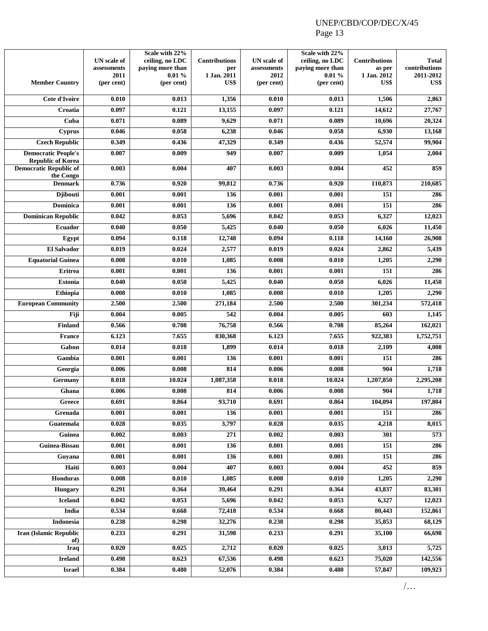|                                                        | <b>UN</b> scale of<br>assessments | Scale with 22%<br>ceiling, no LDC<br>paying more than | <b>Contributions</b><br>per | <b>UN</b> scale of<br>assessments | Scale with 22%<br>ceiling, no LDC<br>paying more than | <b>Contributions</b><br>as per | <b>Total</b><br>contributions |
|--------------------------------------------------------|-----------------------------------|-------------------------------------------------------|-----------------------------|-----------------------------------|-------------------------------------------------------|--------------------------------|-------------------------------|
| <b>Member Country</b>                                  | 2011<br>(per cent)                | 0.01%<br>(per cent)                                   | 1 Jan. 2011<br>US\$         | 2012<br>(per cent)                | 0.01%<br>(per cent)                                   | 1 Jan. 2012<br>US\$            | 2011-2012<br>US\$             |
| Cote d'Ivoire                                          | 0.010                             | 0.013                                                 | 1,356                       | 0.010                             | 0.013                                                 | 1,506                          | 2,863                         |
| Croatia                                                | 0.097                             | 0.121                                                 | 13,155                      | 0.097                             | 0.121                                                 | 14,612                         | 27,767                        |
| Cuba                                                   | 0.071                             | 0.089                                                 | 9,629                       | 0.071                             | 0.089                                                 | 10,696                         | 20,324                        |
| <b>Cyprus</b>                                          | 0.046                             | 0.058                                                 | 6,238                       | 0.046                             | 0.058                                                 | 6,930                          | 13,168                        |
| <b>Czech Republic</b>                                  | 0.349                             | 0.436                                                 | 47,329                      | 0.349                             | 0.436                                                 | 52,574                         | 99,904                        |
| <b>Democratic People's</b><br><b>Republic of Korea</b> | 0.007                             | 0.009                                                 | 949                         | 0.007                             | 0.009                                                 | 1,054                          | 2,004                         |
| <b>Democratic Republic of</b><br>the Congo             | 0.003                             | 0.004                                                 | 407                         | 0.003                             | 0.004                                                 | 452                            | 859                           |
| <b>Denmark</b>                                         | 0.736                             | 0.920                                                 | 99,812                      | 0.736                             | 0.920                                                 | 110,873                        | 210,685                       |
| <b>Djibouti</b>                                        | 0.001                             | 0.001                                                 | 136                         | 0.001                             | 0.001                                                 | $\overline{151}$               | 286                           |
| <b>Dominica</b>                                        | 0.001                             | 0.001                                                 | 136                         | 0.001                             | 0.001                                                 | 151                            | 286                           |
| <b>Dominican Republic</b>                              | 0.042                             | 0.053                                                 | 5,696                       | 0.042                             | 0.053                                                 | 6,327                          | 12,023                        |
| <b>Ecuador</b>                                         | 0.040                             | 0.050                                                 | 5,425                       | 0.040                             | 0.050                                                 | 6,026                          | 11,450                        |
| Egypt                                                  | 0.094                             | 0.118                                                 | 12,748                      | 0.094                             | 0.118                                                 | 14,160                         | 26,908                        |
| <b>El Salvador</b>                                     | 0.019                             | 0.024                                                 | 2,577                       | 0.019                             | 0.024                                                 | 2,862                          | 5,439                         |
| <b>Equatorial Guinea</b>                               | 0.008                             | 0.010                                                 | 1,085                       | 0.008                             | 0.010                                                 | 1,205                          | 2,290                         |
| <b>Eritrea</b>                                         | 0.001                             | 0.001                                                 | 136                         | 0.001                             | 0.001                                                 | 151                            | 286                           |
| <b>Estonia</b>                                         | 0.040                             | 0.050                                                 | 5,425                       | 0.040                             | 0.050                                                 | 6,026                          | 11,450                        |
| Ethiopia                                               | 0.008                             | 0.010                                                 | 1,085                       | 0.008                             | 0.010                                                 | 1,205                          | 2,290                         |
| <b>European Community</b>                              | 2.500                             | 2.500                                                 | 271,184                     | 2.500                             | 2.500                                                 | 301,234                        | 572,418                       |
| Fiji                                                   | 0.004                             | 0.005                                                 | 542                         | 0.004                             | 0.005                                                 | 603                            | 1,145                         |
| <b>Finland</b>                                         | 0.566                             | 0.708                                                 | 76,758                      | 0.566                             | 0.708                                                 | 85,264                         | 162,021                       |
| <b>France</b>                                          | 6.123                             | 7.655                                                 | 830,368                     | 6.123                             | 7.655                                                 | 922,383                        | 1,752,751                     |
| Gabon                                                  | 0.014                             | 0.018                                                 | 1,899                       | 0.014                             | 0.018                                                 | 2,109                          | 4,008                         |
| Gambia                                                 | 0.001                             | 0.001                                                 | 136                         | 0.001                             | 0.001                                                 | 151                            | 286                           |
| Georgia                                                | 0.006                             | 0.008                                                 | 814                         | 0.006                             | 0.008                                                 | 904                            | 1,718                         |
| Germany                                                | 8.018                             | 10.024                                                | 1,087,358                   | 8.018                             | 10.024                                                | 1,207,850                      | 2,295,208                     |
| Ghana                                                  | 0.006                             | 0.008                                                 | 814                         | 0.006                             | 0.008                                                 | 904                            | 1,718                         |
| $G$ reece<br>Grenada                                   | 0.691<br>0.001                    | 0.864<br>0.001                                        | 93,710<br>136               | 0.691<br>0.001                    | 0.864<br>0.001                                        | 104,094<br>151                 | 197,804<br>286                |
| Guatemala                                              | 0.028                             | 0.035                                                 | 3,797                       | 0.028                             | 0.035                                                 | 4,218                          | 8,015                         |
| Guinea                                                 | 0.002                             | 0.003                                                 | 271                         | 0.002                             | 0.003                                                 | 301                            | 573                           |
| Guinea-Bissau                                          | 0.001                             | 0.001                                                 | 136                         | 0.001                             | 0.001                                                 | 151                            | 286                           |
| Guvana                                                 | 0.001                             | 0.001                                                 | 136                         | 0.001                             | 0.001                                                 | 151                            | 286                           |
| Haiti                                                  | 0.003                             | 0.004                                                 | 407                         | 0.003                             | 0.004                                                 | 452                            | 859                           |
| Honduras                                               | 0.008                             | 0.010                                                 | 1,085                       | 0.008                             | 0.010                                                 | 1,205                          | 2,290                         |
| <b>Hungary</b>                                         | 0.291                             | 0.364                                                 | 39,464                      | 0.291                             | 0.364                                                 | 43,837                         | 83,301                        |
| <b>Iceland</b>                                         | 0.042                             | 0.053                                                 | 5,696                       | 0.042                             | 0.053                                                 | 6,327                          | 12,023                        |
| India                                                  | 0.534                             | 0.668                                                 | 72,418                      | 0.534                             | 0.668                                                 | 80,443                         | 152,861                       |
| Indonesia                                              | 0.238                             | 0.298                                                 | 32,276                      | 0.238                             | 0.298                                                 | 35,853                         | 68,129                        |
| <b>Iran (Islamic Republic</b>                          | 0.233                             | 0.291                                                 | 31,598                      | 0.233                             | 0.291                                                 | 35,100                         | 66,698                        |
| of)                                                    |                                   |                                                       |                             |                                   |                                                       |                                |                               |
| Iraq                                                   | 0.020                             | 0.025                                                 | 2,712                       | 0.020                             | 0.025                                                 | 3,013                          | 5,725                         |
| <b>Ireland</b>                                         | 0.498                             | 0.623                                                 | 67,536                      | 0.498                             | 0.623                                                 | 75,020                         | 142,556                       |
| <b>Israel</b>                                          | 0.384                             | 0.480                                                 | 52,076                      | 0.384                             | 0.480                                                 | 57,847                         | 109,923                       |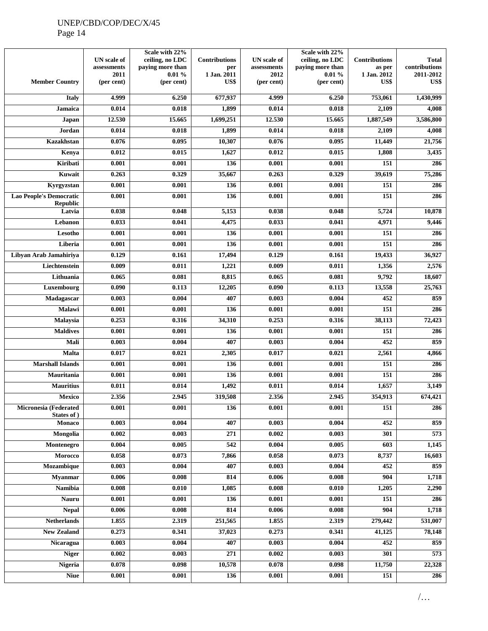|                                                   | <b>UN</b> scale of | Scale with 22%<br>ceiling, no LDC | <b>Contributions</b> | <b>UN</b> scale of | Scale with 22%<br>ceiling, no LDC | <b>Contributions</b> | <b>Total</b>  |
|---------------------------------------------------|--------------------|-----------------------------------|----------------------|--------------------|-----------------------------------|----------------------|---------------|
|                                                   | assessments        | paying more than                  | per                  | assessments        | paying more than                  | as per               | contributions |
|                                                   | 2011               | 0.01%                             | 1 Jan. 2011          | 2012               | 0.01%                             | 1 Jan. 2012          | 2011-2012     |
| <b>Member Country</b>                             | (per cent)         | (per cent)                        | US\$                 | (per cent)         | (per cent)                        | US\$                 | US\$          |
| <b>Italy</b>                                      | 4.999              | 6.250                             | 677,937              | 4.999              | 6.250                             | 753,061              | 1,430,999     |
| <b>Jamaica</b>                                    | 0.014              | 0.018                             | 1,899                | 0.014              | 0.018                             | 2,109                | 4,008         |
| Japan                                             | 12.530             | 15.665                            | 1,699,251            | 12.530             | 15.665                            | 1,887,549            | 3,586,800     |
| Jordan                                            | 0.014              | 0.018                             | 1,899                | 0.014              | 0.018                             | 2,109                | 4,008         |
| Kazakhstan                                        | 0.076              | 0.095                             | 10,307               | 0.076              | 0.095                             | 11,449               | 21,756        |
| Kenya                                             | 0.012              | 0.015                             | 1,627                | 0.012              | 0.015                             | 1,808                | 3,435         |
| Kiribati                                          | 0.001              | 0.001                             | 136                  | 0.001              | 0.001                             | 151                  | 286           |
| Kuwait                                            | 0.263              | 0.329                             | 35,667               | 0.263              | 0.329                             | 39,619               | 75,286        |
| Kyrgyzstan                                        | 0.001              | 0.001                             | 136                  | 0.001              | 0.001                             | 151                  | 286           |
| <b>Lao People's Democratic</b><br><b>Republic</b> | 0.001              | 0.001                             | 136                  | 0.001              | 0.001                             | 151                  | 286           |
| Latvia                                            | 0.038              | 0.048                             | 5,153                | 0.038              | 0.048                             | 5,724                | 10,878        |
| Lebanon                                           | 0.033              | 0.041                             | 4,475                | 0.033              | 0.041                             | 4,971                | 9,446         |
| Lesotho                                           | 0.001              | 0.001                             | 136                  | 0.001              | 0.001                             | 151                  | 286           |
| Liberia                                           | 0.001              | 0.001                             | 136                  | 0.001              | 0.001                             | 151                  | 286           |
| Libyan Arab Jamahiriya                            | 0.129              | 0.161                             | 17,494               | 0.129              | 0.161                             | 19,433               | 36,927        |
| Liechtenstein                                     | 0.009              | 0.011                             | 1,221                | 0.009              | 0.011                             | 1,356                | 2,576         |
| Lithuania                                         | 0.065              | 0.081                             | 8,815                | 0.065              | 0.081                             | 9,792                | 18,607        |
| Luxembourg                                        | 0.090              | 0.113                             | 12,205               | 0.090              | 0.113                             | 13,558               | 25,763        |
| Madagascar                                        | 0.003              | 0.004                             | 407                  | 0.003              | 0.004                             | 452                  | 859           |
| Malawi                                            | 0.001              | 0.001                             | 136                  | 0.001              | 0.001                             | 151                  | 286           |
| Malaysia                                          | 0.253              | 0.316                             | 34,310               | 0.253              | 0.316                             | 38,113               | 72,423        |
| <b>Maldives</b>                                   | 0.001              | 0.001                             | 136                  | 0.001              | 0.001                             | 151                  | 286           |
| Mali                                              | 0.003              | 0.004                             | 407                  | 0.003              | 0.004                             | 452                  | 859           |
| <b>Malta</b>                                      | 0.017              | 0.021                             | 2,305                | 0.017              | 0.021                             | 2,561                | 4,866         |
| <b>Marshall Islands</b>                           | 0.001              | 0.001                             | 136                  | 0.001              | 0.001                             | 151                  | 286           |
| Mauritania                                        | 0.001              | 0.001                             | 136                  | 0.001              | 0.001                             | 151                  | 286           |
| <b>Mauritius</b>                                  | 0.011              | 0.014                             | 1,492                | 0.011              | 0.014                             | 1,657                | 3,149         |
| Mexico                                            | 2.356              | 2.945                             | 319,508              | 2.356              | 2.945                             | 354,913              | 674,421       |
| Micronesia (Federated<br>States of )              | 0.001              | 0.001                             | 136                  | 0.001              | 0.001                             | 151                  | 286           |
| Monaco                                            | 0.003              | 0.004                             | 407                  | 0.003              | 0.004                             | 452                  | 859           |
| Mongolia                                          | 0.002              | 0.003                             | 271                  | 0.002              | 0.003                             | 301                  | 573           |
| Montenegro                                        | 0.004              | 0.005                             | 542                  | 0.004              | 0.005                             | 603                  | 1,145         |
| Morocco                                           | 0.058              | 0.073                             | 7,866                | 0.058              | 0.073                             | 8,737                | 16,603        |
| Mozambique                                        | 0.003              | 0.004                             | 407                  | 0.003              | 0.004                             | 452                  | 859           |
| <b>Myanmar</b>                                    | 0.006              | 0.008                             | 814                  | 0.006              | 0.008                             | 904                  | 1,718         |
| Namibia                                           | 0.008              | 0.010                             | 1,085                | 0.008              | 0.010                             | 1,205                | 2,290         |
| <b>Nauru</b>                                      | 0.001              | 0.001                             | 136                  | 0.001              | 0.001                             | 151                  | 286           |
| <b>Nepal</b>                                      | 0.006              | 0.008                             | 814                  | 0.006              | 0.008                             | 904                  | 1,718         |
| <b>Netherlands</b>                                | 1.855              | 2.319                             | 251,565              | 1.855              | 2.319                             | 279,442              | 531,007       |
| <b>New Zealand</b>                                | 0.273              | 0.341                             | 37,023               | 0.273              | 0.341                             | 41,125               | 78,148        |
| <b>Nicaragua</b>                                  | 0.003              | 0.004                             | 407                  | 0.003              | 0.004                             | 452                  | 859           |
| <b>Niger</b>                                      | 0.002              | 0.003                             | 271                  | 0.002              | 0.003                             | 301                  | 573           |
| Nigeria                                           | 0.078              | 0.098                             | 10,578               | 0.078              | 0.098                             | 11,750               | 22,328        |
| <b>Niue</b>                                       | 0.001              | 0.001                             | 136                  | 0.001              | 0.001                             | 151                  | 286           |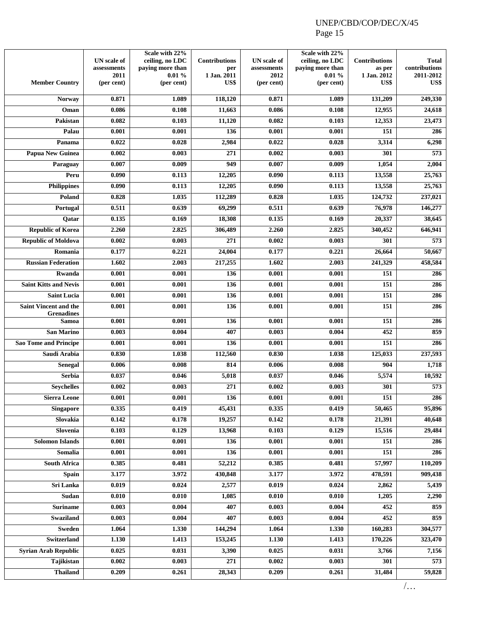| <b>Member Country</b>                             | <b>UN</b> scale of<br>assessments<br>2011<br>(per cent) | Scale with 22%<br>ceiling, no LDC<br>paying more than<br>0.01%<br>(per cent) | <b>Contributions</b><br>per<br>1 Jan. 2011<br>US\$ | <b>UN</b> scale of<br>assessments<br>2012<br>(per cent) | Scale with 22%<br>ceiling, no LDC<br>paying more than<br>0.01%<br>(per cent) | <b>Contributions</b><br>as per<br>1 Jan. 2012<br>US\$ | <b>Total</b><br>contributions<br>2011-2012<br>US\$ |
|---------------------------------------------------|---------------------------------------------------------|------------------------------------------------------------------------------|----------------------------------------------------|---------------------------------------------------------|------------------------------------------------------------------------------|-------------------------------------------------------|----------------------------------------------------|
| <b>Norway</b>                                     | 0.871                                                   | 1.089                                                                        | 118,120                                            | 0.871                                                   | 1.089                                                                        | 131,209                                               | 249,330                                            |
| Oman                                              | 0.086                                                   | 0.108                                                                        | 11,663                                             | 0.086                                                   | 0.108                                                                        | 12,955                                                | 24,618                                             |
| Pakistan                                          | 0.082                                                   | 0.103                                                                        | 11,120                                             | 0.082                                                   | 0.103                                                                        | 12,353                                                | 23,473                                             |
| Palau                                             | 0.001                                                   | 0.001                                                                        | 136                                                | 0.001                                                   | 0.001                                                                        | 151                                                   | 286                                                |
| Panama                                            | 0.022                                                   | 0.028                                                                        | 2,984                                              | 0.022                                                   | 0.028                                                                        | 3,314                                                 | 6,298                                              |
| Papua New Guinea                                  | 0.002                                                   | 0.003                                                                        | 271                                                | 0.002                                                   | 0.003                                                                        | 301                                                   | 573                                                |
| Paraguay                                          | 0.007                                                   | 0.009                                                                        | 949                                                | 0.007                                                   | 0.009                                                                        | 1,054                                                 | 2,004                                              |
| Peru                                              | 0.090                                                   | 0.113                                                                        | 12,205                                             | 0.090                                                   | 0.113                                                                        | 13,558                                                | 25,763                                             |
| <b>Philippines</b>                                | 0.090                                                   | 0.113                                                                        | 12,205                                             | 0.090                                                   | 0.113                                                                        | 13,558                                                | 25,763                                             |
| Poland                                            | 0.828                                                   | 1.035                                                                        | 112,289                                            | 0.828                                                   | 1.035                                                                        | 124,732                                               | 237,021                                            |
| Portugal                                          | 0.511                                                   | 0.639                                                                        | 69,299                                             | 0.511                                                   | 0.639                                                                        | 76,978                                                | 146,277                                            |
| Qatar                                             | 0.135                                                   | 0.169                                                                        | 18,308                                             | 0.135                                                   | 0.169                                                                        | 20,337                                                | 38,645                                             |
| <b>Republic of Korea</b>                          | 2.260                                                   | 2.825                                                                        | 306,489                                            | 2.260                                                   | 2.825                                                                        | 340,452                                               | 646,941                                            |
| <b>Republic of Moldova</b>                        | 0.002                                                   | 0.003                                                                        | 271                                                | 0.002                                                   | 0.003                                                                        | 301                                                   | 573                                                |
| Romania                                           | 0.177                                                   | 0.221                                                                        | 24.004                                             | 0.177                                                   | 0.221                                                                        | 26,664                                                | 50,667                                             |
| <b>Russian Federation</b>                         | 1.602                                                   | 2.003                                                                        | 217,255                                            | 1.602                                                   | 2.003                                                                        | 241,329                                               | 458,584                                            |
| Rwanda                                            | 0.001                                                   | 0.001                                                                        | 136                                                | 0.001                                                   | 0.001                                                                        | 151                                                   | 286                                                |
| <b>Saint Kitts and Nevis</b>                      | 0.001                                                   | 0.001                                                                        | 136                                                | 0.001                                                   | 0.001                                                                        | 151                                                   | 286                                                |
| <b>Saint Lucia</b>                                | 0.001                                                   | 0.001                                                                        | 136                                                | 0.001                                                   | 0.001                                                                        | 151                                                   | 286                                                |
| <b>Saint Vincent and the</b><br><b>Grenadines</b> | 0.001                                                   | 0.001                                                                        | 136                                                | 0.001                                                   | 0.001                                                                        | 151                                                   | 286                                                |
| Samoa                                             | 0.001                                                   | 0.001                                                                        | 136                                                | 0.001                                                   | 0.001                                                                        | 151                                                   | 286                                                |
| <b>San Marino</b>                                 | 0.003                                                   | 0.004                                                                        | 407                                                | 0.003                                                   | 0.004                                                                        | 452                                                   | 859                                                |
| <b>Sao Tome and Principe</b>                      | 0.001                                                   | 0.001                                                                        | 136                                                | 0.001                                                   | 0.001                                                                        | 151                                                   | 286                                                |
| Saudi Arabia                                      | 0.830                                                   | 1.038                                                                        | 112,560                                            | 0.830                                                   | 1.038                                                                        | 125,033                                               | 237,593                                            |
| <b>Senegal</b>                                    | 0.006                                                   | 0.008                                                                        | 814                                                | 0.006                                                   | 0.008                                                                        | 904                                                   | 1,718                                              |
| <b>Serbia</b>                                     | 0.037                                                   | 0.046                                                                        | 5,018                                              | 0.037                                                   | 0.046                                                                        | 5,574                                                 | 10,592                                             |
| <b>Seychelles</b>                                 | 0.002                                                   | 0.003                                                                        | 271                                                | 0.002                                                   | 0.003                                                                        | 301                                                   | 573                                                |
| <b>Sierra Leone</b>                               | 0.001                                                   | 0.001                                                                        | 136                                                | 0.001                                                   | 0.001                                                                        | 151                                                   | 286                                                |
| <b>Singapore</b>                                  | 0.335                                                   | 0.419                                                                        | 45,431                                             | 0.335                                                   | 0.419                                                                        | 50,465                                                | 95,896                                             |
| Slovakia                                          | 0.142                                                   | 0.178                                                                        | 19,257                                             | 0.142                                                   | 0.178                                                                        | 21,391                                                | 40,648                                             |
| Slovenia                                          | 0.103                                                   | 0.129                                                                        | 13,968                                             | 0.103                                                   | 0.129                                                                        | 15,516                                                | 29,484                                             |
| <b>Solomon Islands</b>                            | 0.001                                                   | 0.001                                                                        | 136                                                | 0.001                                                   | 0.001                                                                        | 151                                                   | 286                                                |
| Somalia                                           | 0.001                                                   | 0.001                                                                        | 136                                                | 0.001                                                   | 0.001                                                                        | 151                                                   | 286                                                |
| <b>South Africa</b>                               | 0.385                                                   | 0.481                                                                        | 52,212                                             | 0.385                                                   | 0.481                                                                        | 57,997                                                | 110,209                                            |
| <b>Spain</b>                                      | 3.177                                                   | 3.972                                                                        | 430,848                                            | 3.177                                                   | 3.972                                                                        | 478,591                                               | 909,438                                            |
| Sri Lanka                                         | 0.019                                                   | 0.024                                                                        | 2,577                                              | 0.019                                                   | 0.024                                                                        | 2,862                                                 | 5,439                                              |
| Sudan                                             | 0.010                                                   | 0.010                                                                        | 1,085                                              | 0.010                                                   | 0.010                                                                        | 1,205                                                 | 2,290                                              |
| <b>Suriname</b>                                   | 0.003                                                   | 0.004                                                                        | 407                                                | 0.003                                                   | 0.004                                                                        | 452                                                   | 859                                                |
| <b>Swaziland</b>                                  | 0.003                                                   | 0.004                                                                        | 407                                                | 0.003                                                   | 0.004                                                                        | 452                                                   | 859                                                |
| <b>Sweden</b>                                     | 1.064                                                   | 1.330                                                                        | 144,294                                            | 1.064                                                   | 1.330                                                                        | 160,283                                               | 304,577                                            |
| Switzerland                                       | 1.130                                                   | 1.413                                                                        | 153,245                                            | 1.130                                                   | 1.413                                                                        | 170,226                                               | 323,470                                            |
| <b>Syrian Arab Republic</b>                       | 0.025                                                   | 0.031                                                                        | 3,390                                              | 0.025                                                   | 0.031                                                                        | 3,766                                                 | 7,156                                              |
| Tajikistan                                        | 0.002                                                   | 0.003                                                                        | 271                                                | 0.002                                                   | 0.003                                                                        | 301                                                   | 573                                                |
| <b>Thailand</b>                                   | 0.209                                                   | 0.261                                                                        | 28,343                                             | 0.209                                                   | 0.261                                                                        | 31,484                                                | 59,828                                             |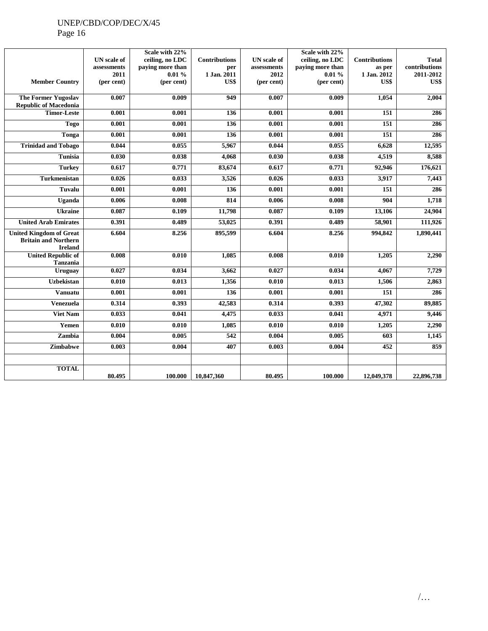## UNEP/CBD/COP/DEC/X/45

Page 16

| <b>Member Country</b>                                                           | <b>UN</b> scale of<br>assessments<br>2011<br>(per cent) | Scale with 22%<br>ceiling, no LDC<br>paying more than<br>0.01%<br>(per cent) | <b>Contributions</b><br>per<br>1 Jan. 2011<br>US\$ | <b>UN</b> scale of<br>assessments<br>2012<br>(per cent) | Scale with 22%<br>ceiling, no LDC<br>paying more than<br>0.01%<br>(per cent) | <b>Contributions</b><br>as per<br>1 Jan. 2012<br>US\$ | <b>Total</b><br>contributions<br>2011-2012<br>US\$ |
|---------------------------------------------------------------------------------|---------------------------------------------------------|------------------------------------------------------------------------------|----------------------------------------------------|---------------------------------------------------------|------------------------------------------------------------------------------|-------------------------------------------------------|----------------------------------------------------|
|                                                                                 |                                                         |                                                                              |                                                    |                                                         |                                                                              |                                                       |                                                    |
| <b>The Former Yugoslav</b><br><b>Republic of Macedonia</b>                      | 0.007                                                   | 0.009                                                                        | 949                                                | 0.007                                                   | 0.009                                                                        | 1.054                                                 | 2,004                                              |
| <b>Timor-Leste</b>                                                              | 0.001                                                   | 0.001                                                                        | 136                                                | 0.001                                                   | 0.001                                                                        | $\overline{151}$                                      | 286                                                |
| <b>Togo</b>                                                                     | 0.001                                                   | 0.001                                                                        | 136                                                | 0.001                                                   | 0.001                                                                        | 151                                                   | 286                                                |
| <b>Tonga</b>                                                                    | 0.001                                                   | 0.001                                                                        | 136                                                | 0.001                                                   | 0.001                                                                        | 151                                                   | 286                                                |
| <b>Trinidad and Tobago</b>                                                      | 0.044                                                   | 0.055                                                                        | 5,967                                              | 0.044                                                   | 0.055                                                                        | 6,628                                                 | 12,595                                             |
| <b>Tunisia</b>                                                                  | 0.030                                                   | 0.038                                                                        | 4,068                                              | 0.030                                                   | 0.038                                                                        | 4,519                                                 | 8,588                                              |
| <b>Turkey</b>                                                                   | 0.617                                                   | 0.771                                                                        | 83,674                                             | 0.617                                                   | 0.771                                                                        | 92,946                                                | 176,621                                            |
| <b>Turkmenistan</b>                                                             | 0.026                                                   | 0.033                                                                        | 3,526                                              | 0.026                                                   | 0.033                                                                        | 3,917                                                 | 7,443                                              |
| Tuvalu                                                                          | 0.001                                                   | 0.001                                                                        | 136                                                | 0.001                                                   | 0.001                                                                        | 151                                                   | 286                                                |
| Uganda                                                                          | 0.006                                                   | 0.008                                                                        | 814                                                | 0.006                                                   | 0.008                                                                        | 904                                                   | 1,718                                              |
| <b>Ukraine</b>                                                                  | 0.087                                                   | 0.109                                                                        | 11,798                                             | 0.087                                                   | 0.109                                                                        | 13,106                                                | 24,904                                             |
| <b>United Arab Emirates</b>                                                     | 0.391                                                   | 0.489                                                                        | 53,025                                             | 0.391                                                   | 0.489                                                                        | 58,901                                                | 111,926                                            |
| <b>United Kingdom of Great</b><br><b>Britain and Northern</b><br><b>Ireland</b> | 6.604                                                   | 8.256                                                                        | 895,599                                            | 6.604                                                   | 8.256                                                                        | 994,842                                               | 1,890,441                                          |
| <b>United Republic of</b><br>Tanzania                                           | 0.008                                                   | 0.010                                                                        | 1,085                                              | 0.008                                                   | 0.010                                                                        | 1,205                                                 | 2,290                                              |
| Uruguay                                                                         | 0.027                                                   | 0.034                                                                        | 3,662                                              | 0.027                                                   | 0.034                                                                        | 4,067                                                 | 7,729                                              |
| <b>Uzbekistan</b>                                                               | 0.010                                                   | 0.013                                                                        | 1,356                                              | 0.010                                                   | 0.013                                                                        | 1,506                                                 | 2,863                                              |
| Vanuatu                                                                         | 0.001                                                   | 0.001                                                                        | 136                                                | 0.001                                                   | 0.001                                                                        | 151                                                   | 286                                                |
| <b>Venezuela</b>                                                                | 0.314                                                   | 0.393                                                                        | 42,583                                             | 0.314                                                   | 0.393                                                                        | 47,302                                                | 89,885                                             |
| <b>Viet Nam</b>                                                                 | 0.033                                                   | 0.041                                                                        | 4,475                                              | 0.033                                                   | 0.041                                                                        | 4,971                                                 | 9,446                                              |
| Yemen                                                                           | 0.010                                                   | 0.010                                                                        | 1,085                                              | 0.010                                                   | 0.010                                                                        | 1,205                                                 | 2,290                                              |
| Zambia                                                                          | 0.004                                                   | 0.005                                                                        | 542                                                | 0.004                                                   | 0.005                                                                        | 603                                                   | 1,145                                              |
| Zimbabwe                                                                        | 0.003                                                   | 0.004                                                                        | 407                                                | 0.003                                                   | 0.004                                                                        | 452                                                   | 859                                                |
|                                                                                 |                                                         |                                                                              |                                                    |                                                         |                                                                              |                                                       |                                                    |
| <b>TOTAL</b>                                                                    | 80.495                                                  | 100.000                                                                      | 10.847.360                                         | 80.495                                                  | 100.000                                                                      | 12,049,378                                            | 22,896,738                                         |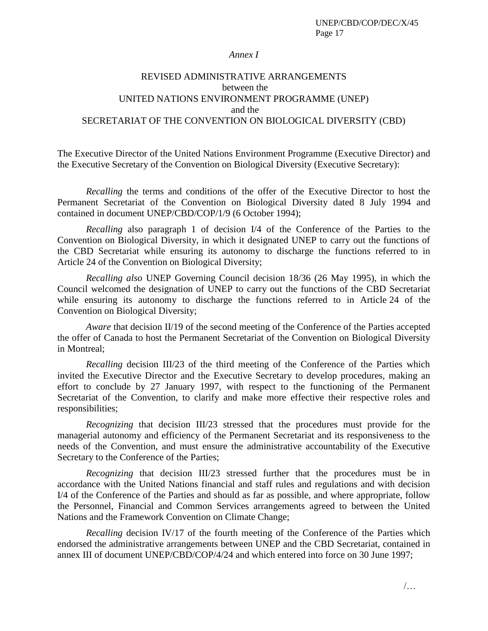#### *Annex I*

## REVISED ADMINISTRATIVE ARRANGEMENTS between the UNITED NATIONS ENVIRONMENT PROGRAMME (UNEP) and the SECRETARIAT OF THE CONVENTION ON BIOLOGICAL DIVERSITY (CBD)

The Executive Director of the United Nations Environment Programme (Executive Director) and the Executive Secretary of the Convention on Biological Diversity (Executive Secretary):

*Recalling* the terms and conditions of the offer of the Executive Director to host the Permanent Secretariat of the Convention on Biological Diversity dated 8 July 1994 and contained in document UNEP/CBD/COP/1/9 (6 October 1994);

*Recalling* also paragraph 1 of decision I/4 of the Conference of the Parties to the Convention on Biological Diversity, in which it designated UNEP to carry out the functions of the CBD Secretariat while ensuring its autonomy to discharge the functions referred to in Article 24 of the Convention on Biological Diversity;

*Recalling also* UNEP Governing Council decision 18/36 (26 May 1995), in which the Council welcomed the designation of UNEP to carry out the functions of the CBD Secretariat while ensuring its autonomy to discharge the functions referred to in Article 24 of the Convention on Biological Diversity;

*Aware* that decision II/19 of the second meeting of the Conference of the Parties accepted the offer of Canada to host the Permanent Secretariat of the Convention on Biological Diversity in Montreal;

*Recalling* decision III/23 of the third meeting of the Conference of the Parties which invited the Executive Director and the Executive Secretary to develop procedures, making an effort to conclude by 27 January 1997, with respect to the functioning of the Permanent Secretariat of the Convention, to clarify and make more effective their respective roles and responsibilities;

*Recognizing* that decision III/23 stressed that the procedures must provide for the managerial autonomy and efficiency of the Permanent Secretariat and its responsiveness to the needs of the Convention, and must ensure the administrative accountability of the Executive Secretary to the Conference of the Parties;

*Recognizing* that decision III/23 stressed further that the procedures must be in accordance with the United Nations financial and staff rules and regulations and with decision I/4 of the Conference of the Parties and should as far as possible, and where appropriate, follow the Personnel, Financial and Common Services arrangements agreed to between the United Nations and the Framework Convention on Climate Change;

*Recalling* decision IV/17 of the fourth meeting of the Conference of the Parties which endorsed the administrative arrangements between UNEP and the CBD Secretariat, contained in annex III of document UNEP/CBD/COP/4/24 and which entered into force on 30 June 1997;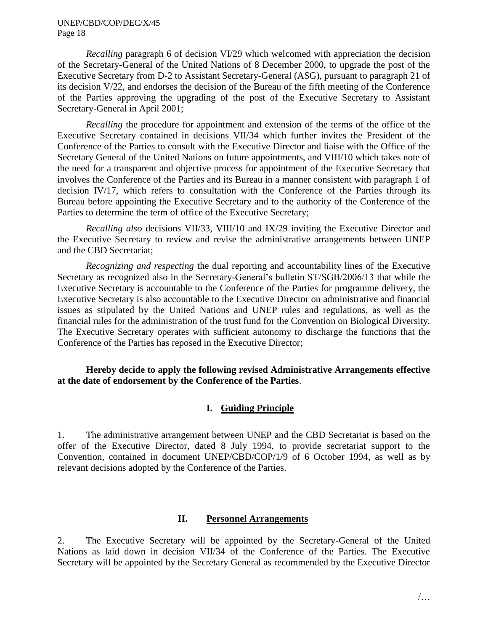*Recalling* paragraph 6 of decision VI/29 which welcomed with appreciation the decision of the Secretary-General of the United Nations of 8 December 2000, to upgrade the post of the Executive Secretary from D-2 to Assistant Secretary-General (ASG), pursuant to paragraph 21 of its decision V/22, and endorses the decision of the Bureau of the fifth meeting of the Conference of the Parties approving the upgrading of the post of the Executive Secretary to Assistant Secretary-General in April 2001;

*Recalling* the procedure for appointment and extension of the terms of the office of the Executive Secretary contained in decisions VII/34 which further invites the President of the Conference of the Parties to consult with the Executive Director and liaise with the Office of the Secretary General of the United Nations on future appointments, and VIII/10 which takes note of the need for a transparent and objective process for appointment of the Executive Secretary that involves the Conference of the Parties and its Bureau in a manner consistent with paragraph 1 of decision IV/17, which refers to consultation with the Conference of the Parties through its Bureau before appointing the Executive Secretary and to the authority of the Conference of the Parties to determine the term of office of the Executive Secretary;

*Recalling also* decisions VII/33, VIII/10 and IX/29 inviting the Executive Director and the Executive Secretary to review and revise the administrative arrangements between UNEP and the CBD Secretariat;

*Recognizing and respecting* the dual reporting and accountability lines of the Executive Secretary as recognized also in the Secretary-General's bulletin ST/SGB/2006/13 that while the Executive Secretary is accountable to the Conference of the Parties for programme delivery, the Executive Secretary is also accountable to the Executive Director on administrative and financial issues as stipulated by the United Nations and UNEP rules and regulations, as well as the financial rules for the administration of the trust fund for the Convention on Biological Diversity. The Executive Secretary operates with sufficient autonomy to discharge the functions that the Conference of the Parties has reposed in the Executive Director;

## **Hereby decide to apply the following revised Administrative Arrangements effective at the date of endorsement by the Conference of the Parties**.

## **I. Guiding Principle**

1. The administrative arrangement between UNEP and the CBD Secretariat is based on the offer of the Executive Director, dated 8 July 1994, to provide secretariat support to the Convention, contained in document UNEP/CBD/COP/1/9 of 6 October 1994, as well as by relevant decisions adopted by the Conference of the Parties.

## **II. Personnel Arrangements**

2. The Executive Secretary will be appointed by the Secretary-General of the United Nations as laid down in decision VII/34 of the Conference of the Parties. The Executive Secretary will be appointed by the Secretary General as recommended by the Executive Director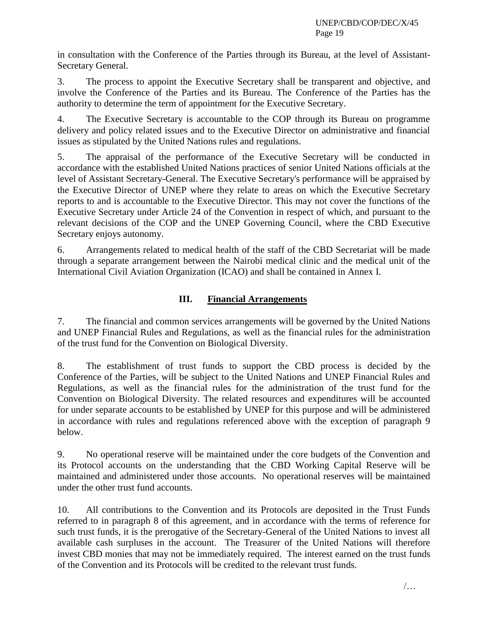in consultation with the Conference of the Parties through its Bureau, at the level of Assistant-Secretary General.

3. The process to appoint the Executive Secretary shall be transparent and objective, and involve the Conference of the Parties and its Bureau. The Conference of the Parties has the authority to determine the term of appointment for the Executive Secretary.

4. The Executive Secretary is accountable to the COP through its Bureau on programme delivery and policy related issues and to the Executive Director on administrative and financial issues as stipulated by the United Nations rules and regulations.

5. The appraisal of the performance of the Executive Secretary will be conducted in accordance with the established United Nations practices of senior United Nations officials at the level of Assistant Secretary-General. The Executive Secretary's performance will be appraised by the Executive Director of UNEP where they relate to areas on which the Executive Secretary reports to and is accountable to the Executive Director. This may not cover the functions of the Executive Secretary under Article 24 of the Convention in respect of which, and pursuant to the relevant decisions of the COP and the UNEP Governing Council, where the CBD Executive Secretary enjoys autonomy.

6. Arrangements related to medical health of the staff of the CBD Secretariat will be made through a separate arrangement between the Nairobi medical clinic and the medical unit of the International Civil Aviation Organization (ICAO) and shall be contained in Annex I.

## **III. Financial Arrangements**

7. The financial and common services arrangements will be governed by the United Nations and UNEP Financial Rules and Regulations, as well as the financial rules for the administration of the trust fund for the Convention on Biological Diversity.

8. The establishment of trust funds to support the CBD process is decided by the Conference of the Parties, will be subject to the United Nations and UNEP Financial Rules and Regulations, as well as the financial rules for the administration of the trust fund for the Convention on Biological Diversity. The related resources and expenditures will be accounted for under separate accounts to be established by UNEP for this purpose and will be administered in accordance with rules and regulations referenced above with the exception of paragraph 9 below.

9. No operational reserve will be maintained under the core budgets of the Convention and its Protocol accounts on the understanding that the CBD Working Capital Reserve will be maintained and administered under those accounts. No operational reserves will be maintained under the other trust fund accounts.

10. All contributions to the Convention and its Protocols are deposited in the Trust Funds referred to in paragraph 8 of this agreement, and in accordance with the terms of reference for such trust funds, it is the prerogative of the Secretary-General of the United Nations to invest all available cash surpluses in the account. The Treasurer of the United Nations will therefore invest CBD monies that may not be immediately required. The interest earned on the trust funds of the Convention and its Protocols will be credited to the relevant trust funds.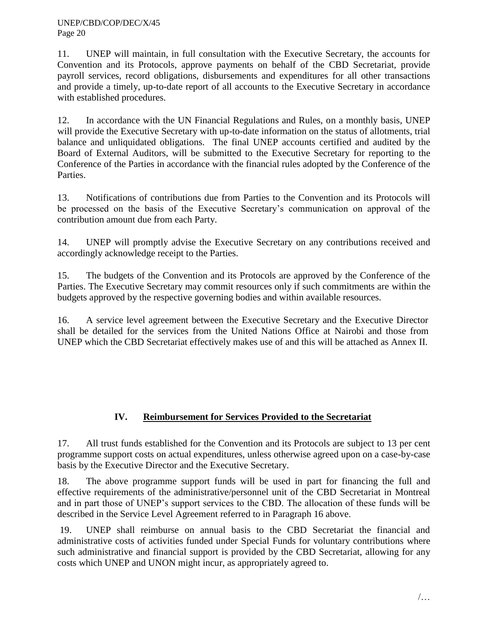11. UNEP will maintain, in full consultation with the Executive Secretary, the accounts for Convention and its Protocols, approve payments on behalf of the CBD Secretariat, provide payroll services, record obligations, disbursements and expenditures for all other transactions and provide a timely, up-to-date report of all accounts to the Executive Secretary in accordance with established procedures.

12. In accordance with the UN Financial Regulations and Rules, on a monthly basis, UNEP will provide the Executive Secretary with up-to-date information on the status of allotments, trial balance and unliquidated obligations. The final UNEP accounts certified and audited by the Board of External Auditors, will be submitted to the Executive Secretary for reporting to the Conference of the Parties in accordance with the financial rules adopted by the Conference of the Parties.

13. Notifications of contributions due from Parties to the Convention and its Protocols will be processed on the basis of the Executive Secretary's communication on approval of the contribution amount due from each Party.

14. UNEP will promptly advise the Executive Secretary on any contributions received and accordingly acknowledge receipt to the Parties.

15. The budgets of the Convention and its Protocols are approved by the Conference of the Parties. The Executive Secretary may commit resources only if such commitments are within the budgets approved by the respective governing bodies and within available resources.

16. A service level agreement between the Executive Secretary and the Executive Director shall be detailed for the services from the United Nations Office at Nairobi and those from UNEP which the CBD Secretariat effectively makes use of and this will be attached as Annex II.

## **IV. Reimbursement for Services Provided to the Secretariat**

17. All trust funds established for the Convention and its Protocols are subject to 13 per cent programme support costs on actual expenditures, unless otherwise agreed upon on a case-by-case basis by the Executive Director and the Executive Secretary.

18. The above programme support funds will be used in part for financing the full and effective requirements of the administrative/personnel unit of the CBD Secretariat in Montreal and in part those of UNEP's support services to the CBD. The allocation of these funds will be described in the Service Level Agreement referred to in Paragraph 16 above.

19. UNEP shall reimburse on annual basis to the CBD Secretariat the financial and administrative costs of activities funded under Special Funds for voluntary contributions where such administrative and financial support is provided by the CBD Secretariat, allowing for any costs which UNEP and UNON might incur, as appropriately agreed to.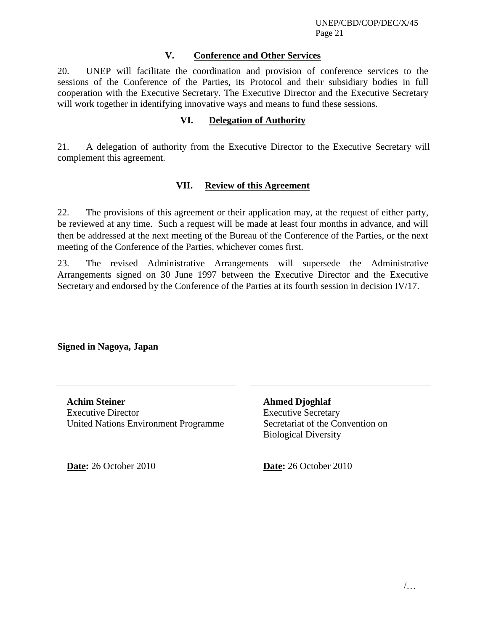## **V. Conference and Other Services**

20. UNEP will facilitate the coordination and provision of conference services to the sessions of the Conference of the Parties, its Protocol and their subsidiary bodies in full cooperation with the Executive Secretary. The Executive Director and the Executive Secretary will work together in identifying innovative ways and means to fund these sessions.

## **VI. Delegation of Authority**

21. A delegation of authority from the Executive Director to the Executive Secretary will complement this agreement.

#### **VII. Review of this Agreement**

22. The provisions of this agreement or their application may, at the request of either party, be reviewed at any time. Such a request will be made at least four months in advance, and will then be addressed at the next meeting of the Bureau of the Conference of the Parties, or the next meeting of the Conference of the Parties, whichever comes first.

23. The revised Administrative Arrangements will supersede the Administrative Arrangements signed on 30 June 1997 between the Executive Director and the Executive Secretary and endorsed by the Conference of the Parties at its fourth session in decision IV/17.

## **Signed in Nagoya, Japan**

**Achim Steiner**  Executive Director United Nations Environment Programme

**Date:** 26 October 2010 **Date:** 26 October 2010

**Ahmed Djoghlaf**  Executive Secretary Secretariat of the Convention on Biological Diversity